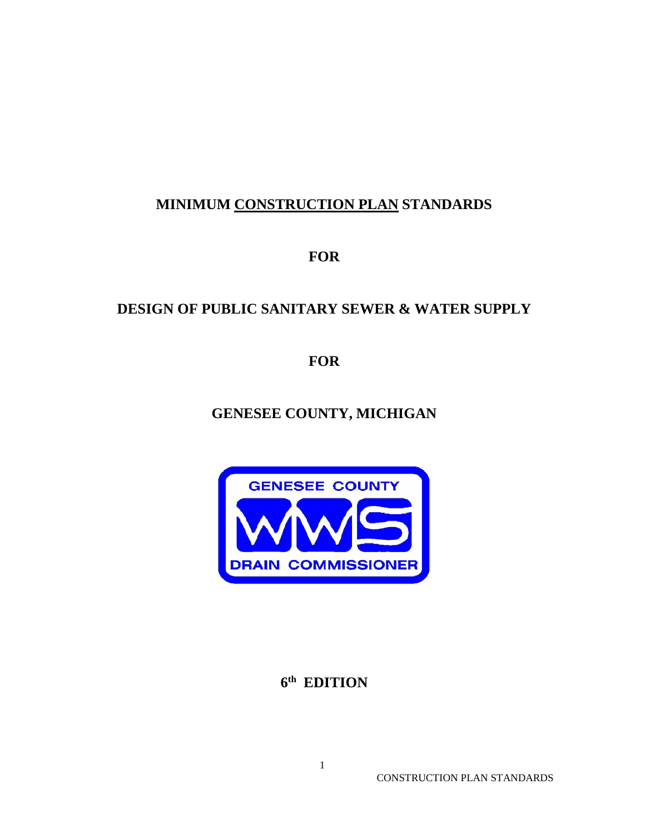# **MINIMUM CONSTRUCTION PLAN STANDARDS**

**FOR**

# **DESIGN OF PUBLIC SANITARY SEWER & WATER SUPPLY**

**FOR**

**GENESEE COUNTY, MICHIGAN**



**6th EDITION**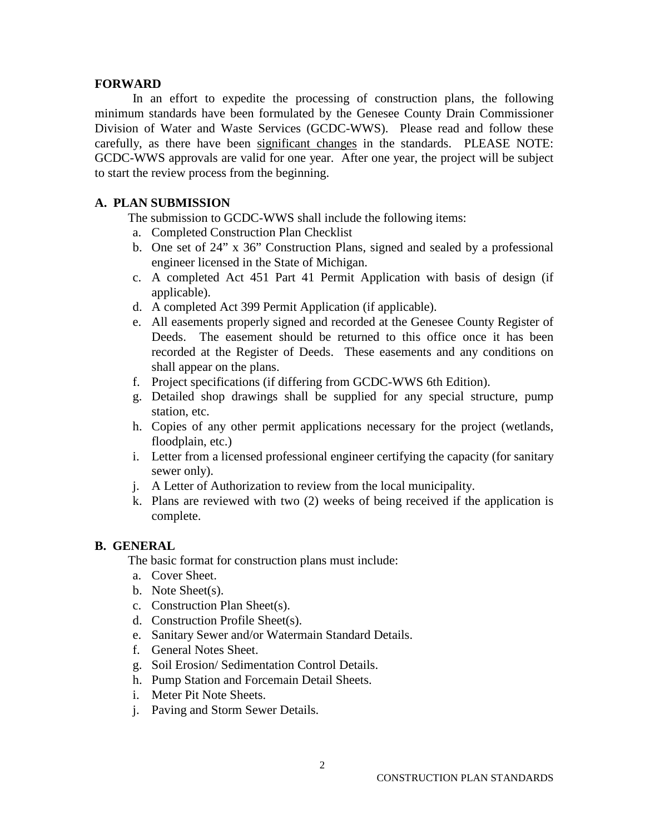#### **FORWARD**

In an effort to expedite the processing of construction plans, the following minimum standards have been formulated by the Genesee County Drain Commissioner Division of Water and Waste Services (GCDC-WWS). Please read and follow these carefully, as there have been significant changes in the standards. PLEASE NOTE: GCDC-WWS approvals are valid for one year. After one year, the project will be subject to start the review process from the beginning.

#### **A. PLAN SUBMISSION**

The submission to GCDC-WWS shall include the following items:

- a. Completed Construction Plan Checklist
- b. One set of 24" x 36" Construction Plans, signed and sealed by a professional engineer licensed in the State of Michigan.
- c. A completed Act 451 Part 41 Permit Application with basis of design (if applicable).
- d. A completed Act 399 Permit Application (if applicable).
- e. All easements properly signed and recorded at the Genesee County Register of Deeds. The easement should be returned to this office once it has been recorded at the Register of Deeds. These easements and any conditions on shall appear on the plans.
- f. Project specifications (if differing from GCDC-WWS 6th Edition).
- g. Detailed shop drawings shall be supplied for any special structure, pump station, etc.
- h. Copies of any other permit applications necessary for the project (wetlands, floodplain, etc.)
- i. Letter from a licensed professional engineer certifying the capacity (for sanitary sewer only).
- j. A Letter of Authorization to review from the local municipality.
- k. Plans are reviewed with two (2) weeks of being received if the application is complete.

#### **B. GENERAL**

The basic format for construction plans must include:

- a. Cover Sheet.
- b. Note Sheet(s).
- c. Construction Plan Sheet(s).
- d. Construction Profile Sheet(s).
- e. Sanitary Sewer and/or Watermain Standard Details.
- f. General Notes Sheet.
- g. Soil Erosion/ Sedimentation Control Details.
- h. Pump Station and Forcemain Detail Sheets.
- i. Meter Pit Note Sheets.
- j. Paving and Storm Sewer Details.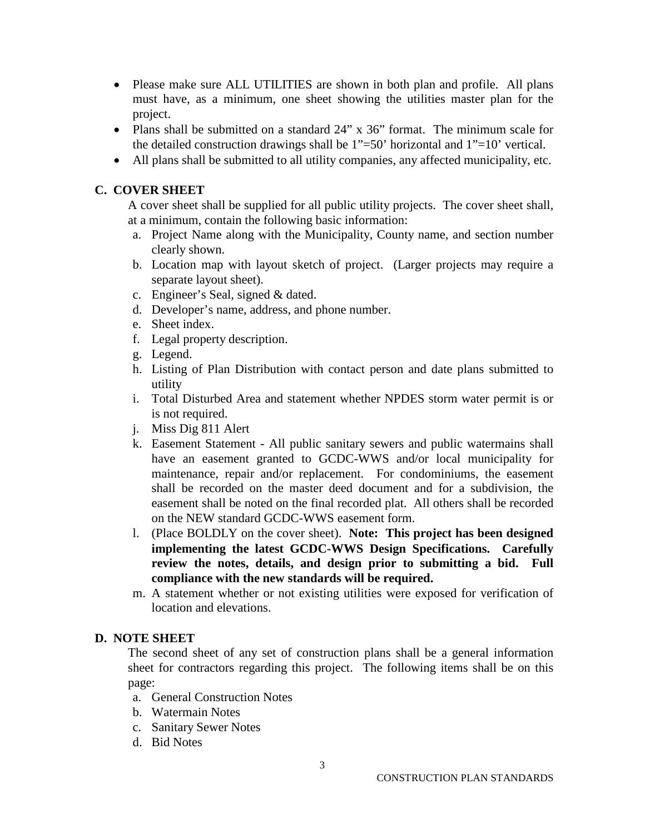- Please make sure ALL UTILITIES are shown in both plan and profile. All plans must have, as a minimum, one sheet showing the utilities master plan for the project.
- Plans shall be submitted on a standard 24" x 36" format. The minimum scale for the detailed construction drawings shall be  $1"=50'$  horizontal and  $1"=10'$  vertical.
- All plans shall be submitted to all utility companies, any affected municipality, etc.

## **C. COVER SHEET**

A cover sheet shall be supplied for all public utility projects. The cover sheet shall, at a minimum, contain the following basic information:

- a. Project Name along with the Municipality, County name, and section number clearly shown.
- b. Location map with layout sketch of project. (Larger projects may require a separate layout sheet).
- c. Engineer's Seal, signed & dated.
- d. Developer's name, address, and phone number.
- e. Sheet index.
- f. Legal property description.
- g. Legend.
- h. Listing of Plan Distribution with contact person and date plans submitted to utility
- i. Total Disturbed Area and statement whether NPDES storm water permit is or is not required.
- j. Miss Dig 811 Alert
- k. Easement Statement All public sanitary sewers and public watermains shall have an easement granted to GCDC-WWS and/or local municipality for maintenance, repair and/or replacement. For condominiums, the easement shall be recorded on the master deed document and for a subdivision, the easement shall be noted on the final recorded plat. All others shall be recorded on the NEW standard GCDC-WWS easement form.
- l. (Place BOLDLY on the cover sheet). **Note: This project has been designed implementing the latest GCDC-WWS Design Specifications. Carefully review the notes, details, and design prior to submitting a bid. Full compliance with the new standards will be required.**
- m. A statement whether or not existing utilities were exposed for verification of location and elevations.

## **D. NOTE SHEET**

The second sheet of any set of construction plans shall be a general information sheet for contractors regarding this project. The following items shall be on this page:

- a. General Construction Notes
- b. Watermain Notes
- c. Sanitary Sewer Notes
- d. Bid Notes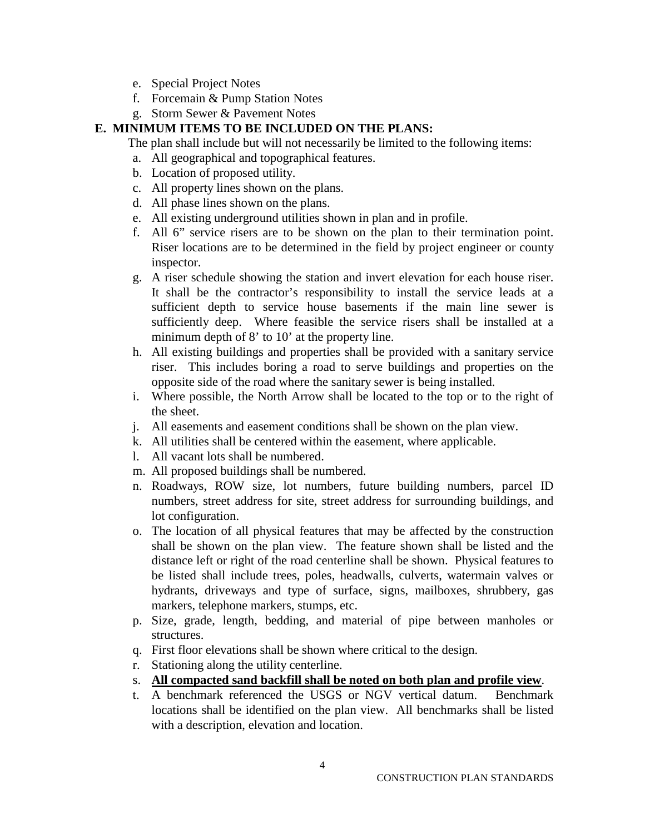- e. Special Project Notes
- f. Forcemain & Pump Station Notes
- g. Storm Sewer & Pavement Notes

## **E. MINIMUM ITEMS TO BE INCLUDED ON THE PLANS:**

The plan shall include but will not necessarily be limited to the following items:

- a. All geographical and topographical features.
- b. Location of proposed utility.
- c. All property lines shown on the plans.
- d. All phase lines shown on the plans.
- e. All existing underground utilities shown in plan and in profile.
- f. All 6" service risers are to be shown on the plan to their termination point. Riser locations are to be determined in the field by project engineer or county inspector.
- g. A riser schedule showing the station and invert elevation for each house riser. It shall be the contractor's responsibility to install the service leads at a sufficient depth to service house basements if the main line sewer is sufficiently deep. Where feasible the service risers shall be installed at a minimum depth of 8' to 10' at the property line.
- h. All existing buildings and properties shall be provided with a sanitary service riser. This includes boring a road to serve buildings and properties on the opposite side of the road where the sanitary sewer is being installed.
- i. Where possible, the North Arrow shall be located to the top or to the right of the sheet.
- j. All easements and easement conditions shall be shown on the plan view.
- k. All utilities shall be centered within the easement, where applicable.
- l. All vacant lots shall be numbered.
- m. All proposed buildings shall be numbered.
- n. Roadways, ROW size, lot numbers, future building numbers, parcel ID numbers, street address for site, street address for surrounding buildings, and lot configuration.
- o. The location of all physical features that may be affected by the construction shall be shown on the plan view. The feature shown shall be listed and the distance left or right of the road centerline shall be shown. Physical features to be listed shall include trees, poles, headwalls, culverts, watermain valves or hydrants, driveways and type of surface, signs, mailboxes, shrubbery, gas markers, telephone markers, stumps, etc.
- p. Size, grade, length, bedding, and material of pipe between manholes or structures.
- q. First floor elevations shall be shown where critical to the design.
- r. Stationing along the utility centerline.
- s. **All compacted sand backfill shall be noted on both plan and profile view**.
- t. A benchmark referenced the USGS or NGV vertical datum. Benchmark locations shall be identified on the plan view. All benchmarks shall be listed with a description, elevation and location.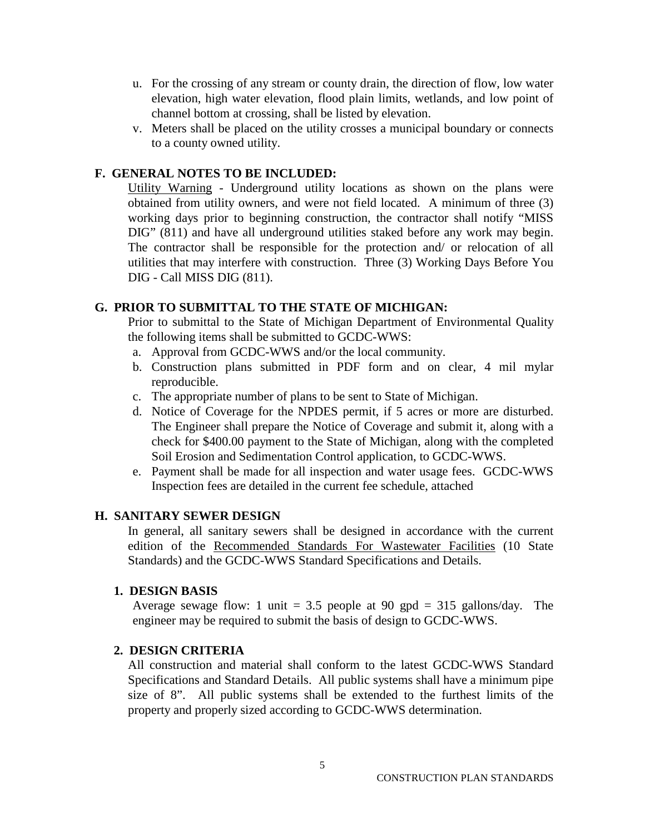- u. For the crossing of any stream or county drain, the direction of flow, low water elevation, high water elevation, flood plain limits, wetlands, and low point of channel bottom at crossing, shall be listed by elevation.
- v. Meters shall be placed on the utility crosses a municipal boundary or connects to a county owned utility.

## **F. GENERAL NOTES TO BE INCLUDED:**

Utility Warning - Underground utility locations as shown on the plans were obtained from utility owners, and were not field located. A minimum of three (3) working days prior to beginning construction, the contractor shall notify "MISS DIG" (811) and have all underground utilities staked before any work may begin. The contractor shall be responsible for the protection and/ or relocation of all utilities that may interfere with construction. Three (3) Working Days Before You DIG - Call MISS DIG (811).

### **G. PRIOR TO SUBMITTAL TO THE STATE OF MICHIGAN:**

Prior to submittal to the State of Michigan Department of Environmental Quality the following items shall be submitted to GCDC-WWS:

- a. Approval from GCDC-WWS and/or the local community.
- b. Construction plans submitted in PDF form and on clear, 4 mil mylar reproducible.
- c. The appropriate number of plans to be sent to State of Michigan.
- d. Notice of Coverage for the NPDES permit, if 5 acres or more are disturbed. The Engineer shall prepare the Notice of Coverage and submit it, along with a check for \$400.00 payment to the State of Michigan, along with the completed Soil Erosion and Sedimentation Control application, to GCDC-WWS.
- e. Payment shall be made for all inspection and water usage fees. GCDC-WWS Inspection fees are detailed in the current fee schedule, attached

### **H. SANITARY SEWER DESIGN**

In general, all sanitary sewers shall be designed in accordance with the current edition of the Recommended Standards For Wastewater Facilities (10 State Standards) and the GCDC-WWS Standard Specifications and Details.

### **1. DESIGN BASIS**

Average sewage flow: 1 unit = 3.5 people at 90 gpd = 315 gallons/day. The engineer may be required to submit the basis of design to GCDC-WWS.

#### **2. DESIGN CRITERIA**

All construction and material shall conform to the latest GCDC-WWS Standard Specifications and Standard Details. All public systems shall have a minimum pipe size of 8". All public systems shall be extended to the furthest limits of the property and properly sized according to GCDC-WWS determination.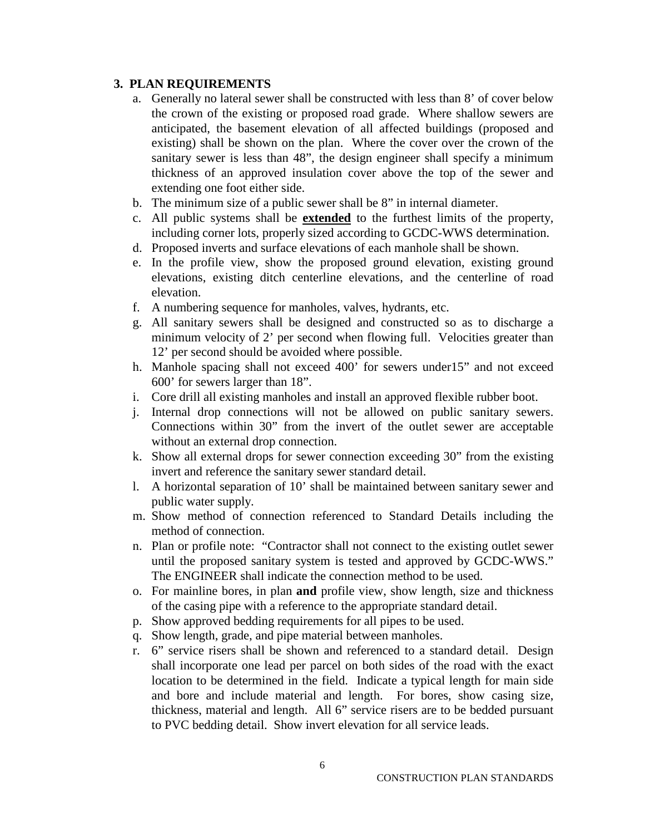- a. Generally no lateral sewer shall be constructed with less than 8' of cover below the crown of the existing or proposed road grade. Where shallow sewers are anticipated, the basement elevation of all affected buildings (proposed and existing) shall be shown on the plan. Where the cover over the crown of the sanitary sewer is less than 48", the design engineer shall specify a minimum thickness of an approved insulation cover above the top of the sewer and extending one foot either side.
- b. The minimum size of a public sewer shall be 8" in internal diameter.
- c. All public systems shall be **extended** to the furthest limits of the property, including corner lots, properly sized according to GCDC-WWS determination.
- d. Proposed inverts and surface elevations of each manhole shall be shown.
- e. In the profile view, show the proposed ground elevation, existing ground elevations, existing ditch centerline elevations, and the centerline of road elevation.
- f. A numbering sequence for manholes, valves, hydrants, etc.
- g. All sanitary sewers shall be designed and constructed so as to discharge a minimum velocity of 2' per second when flowing full. Velocities greater than 12' per second should be avoided where possible.
- h. Manhole spacing shall not exceed 400' for sewers under15" and not exceed 600' for sewers larger than 18".
- i. Core drill all existing manholes and install an approved flexible rubber boot.
- j. Internal drop connections will not be allowed on public sanitary sewers. Connections within 30" from the invert of the outlet sewer are acceptable without an external drop connection.
- k. Show all external drops for sewer connection exceeding 30" from the existing invert and reference the sanitary sewer standard detail.
- l. A horizontal separation of 10' shall be maintained between sanitary sewer and public water supply.
- m. Show method of connection referenced to Standard Details including the method of connection.
- n. Plan or profile note: "Contractor shall not connect to the existing outlet sewer until the proposed sanitary system is tested and approved by GCDC-WWS." The ENGINEER shall indicate the connection method to be used.
- o. For mainline bores, in plan **and** profile view, show length, size and thickness of the casing pipe with a reference to the appropriate standard detail.
- p. Show approved bedding requirements for all pipes to be used.
- q. Show length, grade, and pipe material between manholes.
- r. 6" service risers shall be shown and referenced to a standard detail. Design shall incorporate one lead per parcel on both sides of the road with the exact location to be determined in the field. Indicate a typical length for main side and bore and include material and length. For bores, show casing size, thickness, material and length. All 6" service risers are to be bedded pursuant to PVC bedding detail. Show invert elevation for all service leads.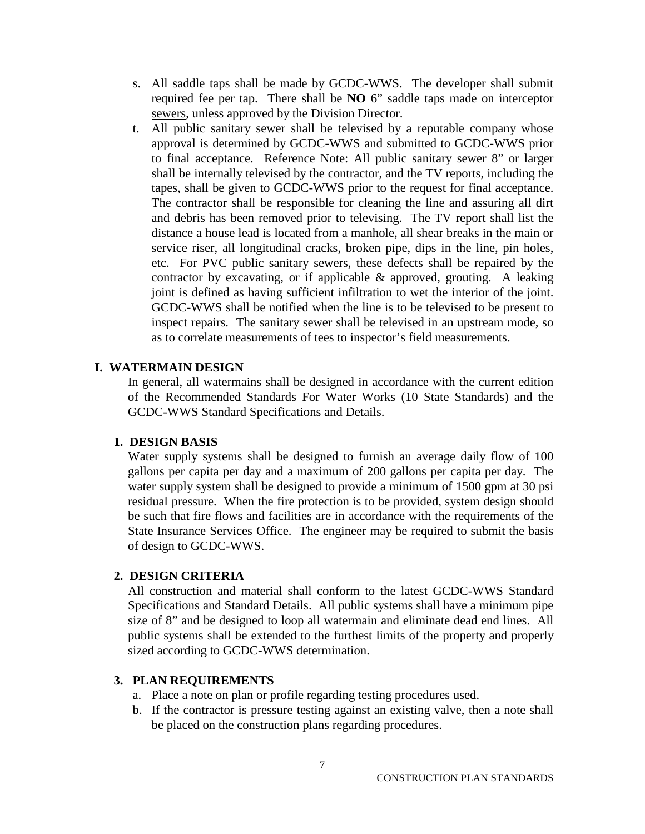- s. All saddle taps shall be made by GCDC-WWS. The developer shall submit required fee per tap. There shall be **NO** 6" saddle taps made on interceptor sewers, unless approved by the Division Director.
- t. All public sanitary sewer shall be televised by a reputable company whose approval is determined by GCDC-WWS and submitted to GCDC-WWS prior to final acceptance. Reference Note: All public sanitary sewer 8" or larger shall be internally televised by the contractor, and the TV reports, including the tapes, shall be given to GCDC-WWS prior to the request for final acceptance. The contractor shall be responsible for cleaning the line and assuring all dirt and debris has been removed prior to televising. The TV report shall list the distance a house lead is located from a manhole, all shear breaks in the main or service riser, all longitudinal cracks, broken pipe, dips in the line, pin holes, etc. For PVC public sanitary sewers, these defects shall be repaired by the contractor by excavating, or if applicable  $\&$  approved, grouting. A leaking joint is defined as having sufficient infiltration to wet the interior of the joint. GCDC-WWS shall be notified when the line is to be televised to be present to inspect repairs. The sanitary sewer shall be televised in an upstream mode, so as to correlate measurements of tees to inspector's field measurements.

#### **I. WATERMAIN DESIGN**

In general, all watermains shall be designed in accordance with the current edition of the Recommended Standards For Water Works (10 State Standards) and the GCDC-WWS Standard Specifications and Details.

#### **1. DESIGN BASIS**

Water supply systems shall be designed to furnish an average daily flow of 100 gallons per capita per day and a maximum of 200 gallons per capita per day. The water supply system shall be designed to provide a minimum of 1500 gpm at 30 psi residual pressure. When the fire protection is to be provided, system design should be such that fire flows and facilities are in accordance with the requirements of the State Insurance Services Office. The engineer may be required to submit the basis of design to GCDC-WWS.

#### **2. DESIGN CRITERIA**

All construction and material shall conform to the latest GCDC-WWS Standard Specifications and Standard Details. All public systems shall have a minimum pipe size of 8" and be designed to loop all watermain and eliminate dead end lines. All public systems shall be extended to the furthest limits of the property and properly sized according to GCDC-WWS determination.

- a. Place a note on plan or profile regarding testing procedures used.
- b. If the contractor is pressure testing against an existing valve, then a note shall be placed on the construction plans regarding procedures.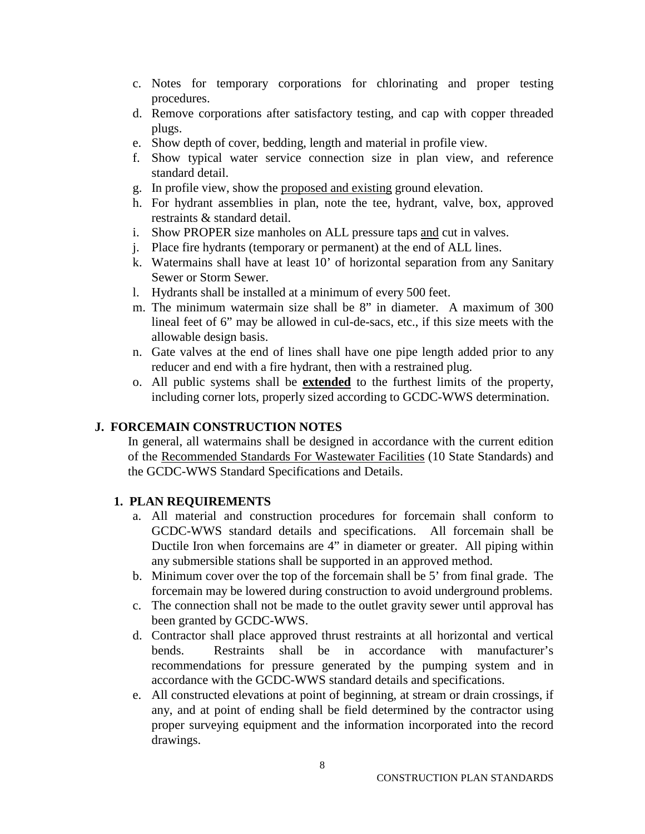- c. Notes for temporary corporations for chlorinating and proper testing procedures.
- d. Remove corporations after satisfactory testing, and cap with copper threaded plugs.
- e. Show depth of cover, bedding, length and material in profile view.
- f. Show typical water service connection size in plan view, and reference standard detail.
- g. In profile view, show the proposed and existing ground elevation.
- h. For hydrant assemblies in plan, note the tee, hydrant, valve, box, approved restraints & standard detail.
- i. Show PROPER size manholes on ALL pressure taps and cut in valves.
- j. Place fire hydrants (temporary or permanent) at the end of ALL lines.
- k. Watermains shall have at least 10' of horizontal separation from any Sanitary Sewer or Storm Sewer.
- l. Hydrants shall be installed at a minimum of every 500 feet.
- m. The minimum watermain size shall be 8" in diameter. A maximum of 300 lineal feet of 6" may be allowed in cul-de-sacs, etc., if this size meets with the allowable design basis.
- n. Gate valves at the end of lines shall have one pipe length added prior to any reducer and end with a fire hydrant, then with a restrained plug.
- o. All public systems shall be **extended** to the furthest limits of the property, including corner lots, properly sized according to GCDC-WWS determination.

## **J. FORCEMAIN CONSTRUCTION NOTES**

In general, all watermains shall be designed in accordance with the current edition of the Recommended Standards For Wastewater Facilities (10 State Standards) and the GCDC-WWS Standard Specifications and Details.

- a. All material and construction procedures for forcemain shall conform to GCDC-WWS standard details and specifications. All forcemain shall be Ductile Iron when forcemains are 4" in diameter or greater. All piping within any submersible stations shall be supported in an approved method.
- b. Minimum cover over the top of the forcemain shall be 5' from final grade. The forcemain may be lowered during construction to avoid underground problems.
- c. The connection shall not be made to the outlet gravity sewer until approval has been granted by GCDC-WWS.
- d. Contractor shall place approved thrust restraints at all horizontal and vertical bends. Restraints shall be in accordance with manufacturer's recommendations for pressure generated by the pumping system and in accordance with the GCDC-WWS standard details and specifications.
- e. All constructed elevations at point of beginning, at stream or drain crossings, if any, and at point of ending shall be field determined by the contractor using proper surveying equipment and the information incorporated into the record drawings.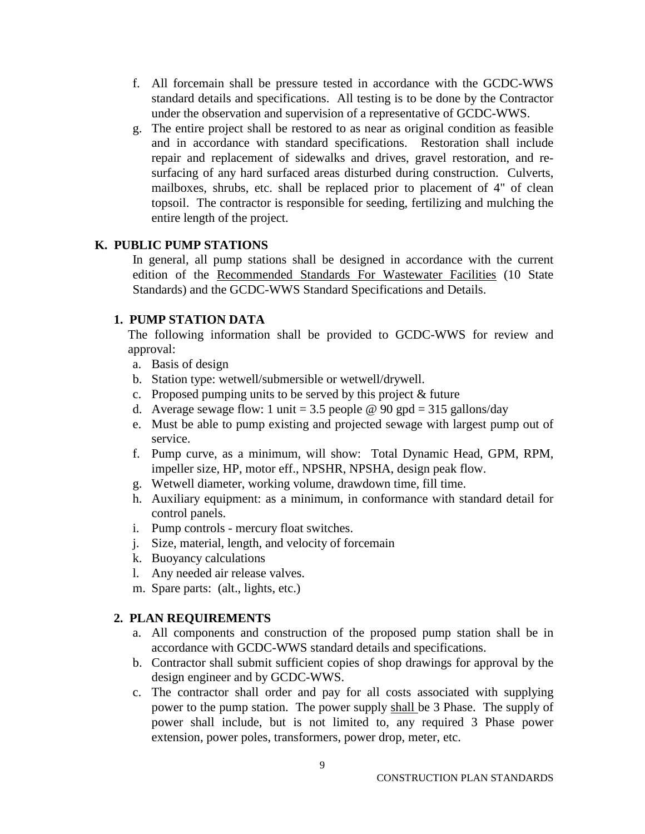- f. All forcemain shall be pressure tested in accordance with the GCDC-WWS standard details and specifications. All testing is to be done by the Contractor under the observation and supervision of a representative of GCDC-WWS.
- g. The entire project shall be restored to as near as original condition as feasible and in accordance with standard specifications. Restoration shall include repair and replacement of sidewalks and drives, gravel restoration, and resurfacing of any hard surfaced areas disturbed during construction. Culverts, mailboxes, shrubs, etc. shall be replaced prior to placement of 4" of clean topsoil. The contractor is responsible for seeding, fertilizing and mulching the entire length of the project.

### **K. PUBLIC PUMP STATIONS**

In general, all pump stations shall be designed in accordance with the current edition of the Recommended Standards For Wastewater Facilities (10 State Standards) and the GCDC-WWS Standard Specifications and Details.

#### **1. PUMP STATION DATA**

The following information shall be provided to GCDC-WWS for review and approval:

- a. Basis of design
- b. Station type: wetwell/submersible or wetwell/drywell.
- c. Proposed pumping units to be served by this project & future
- d. Average sewage flow: 1 unit = 3.5 people  $\omega$  90 gpd = 315 gallons/day
- e. Must be able to pump existing and projected sewage with largest pump out of service.
- f. Pump curve, as a minimum, will show: Total Dynamic Head, GPM, RPM, impeller size, HP, motor eff., NPSHR, NPSHA, design peak flow.
- g. Wetwell diameter, working volume, drawdown time, fill time.
- h. Auxiliary equipment: as a minimum, in conformance with standard detail for control panels.
- i. Pump controls mercury float switches.
- j. Size, material, length, and velocity of forcemain
- k. Buoyancy calculations
- l. Any needed air release valves.
- m. Spare parts: (alt., lights, etc.)

- a. All components and construction of the proposed pump station shall be in accordance with GCDC-WWS standard details and specifications.
- b. Contractor shall submit sufficient copies of shop drawings for approval by the design engineer and by GCDC-WWS.
- c. The contractor shall order and pay for all costs associated with supplying power to the pump station. The power supply shall be 3 Phase. The supply of power shall include, but is not limited to, any required 3 Phase power extension, power poles, transformers, power drop, meter, etc.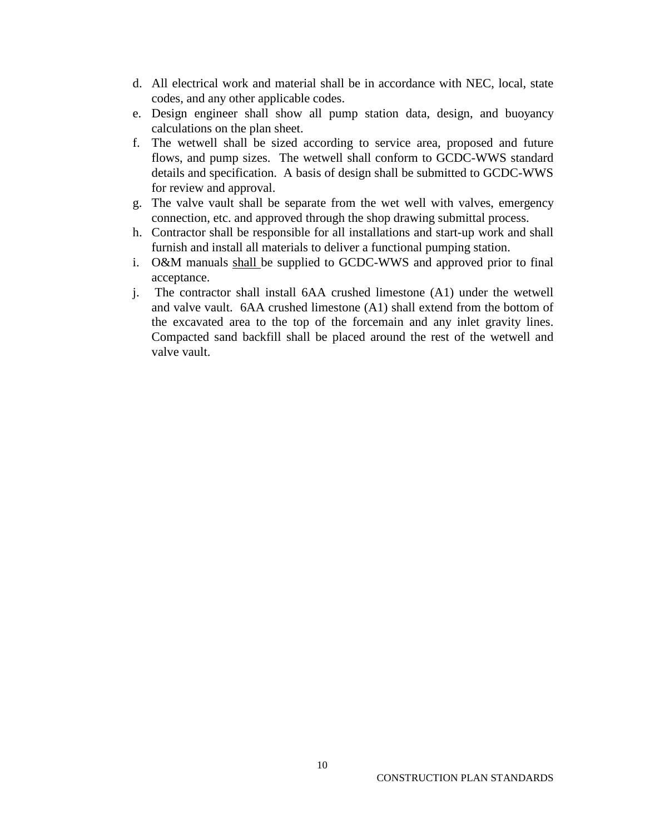- d. All electrical work and material shall be in accordance with NEC, local, state codes, and any other applicable codes.
- e. Design engineer shall show all pump station data, design, and buoyancy calculations on the plan sheet.
- f. The wetwell shall be sized according to service area, proposed and future flows, and pump sizes. The wetwell shall conform to GCDC-WWS standard details and specification. A basis of design shall be submitted to GCDC-WWS for review and approval.
- g. The valve vault shall be separate from the wet well with valves, emergency connection, etc. and approved through the shop drawing submittal process.
- h. Contractor shall be responsible for all installations and start-up work and shall furnish and install all materials to deliver a functional pumping station.
- i. O&M manuals shall be supplied to GCDC-WWS and approved prior to final acceptance.
- j. The contractor shall install 6AA crushed limestone (A1) under the wetwell and valve vault. 6AA crushed limestone (A1) shall extend from the bottom of the excavated area to the top of the forcemain and any inlet gravity lines. Compacted sand backfill shall be placed around the rest of the wetwell and valve vault.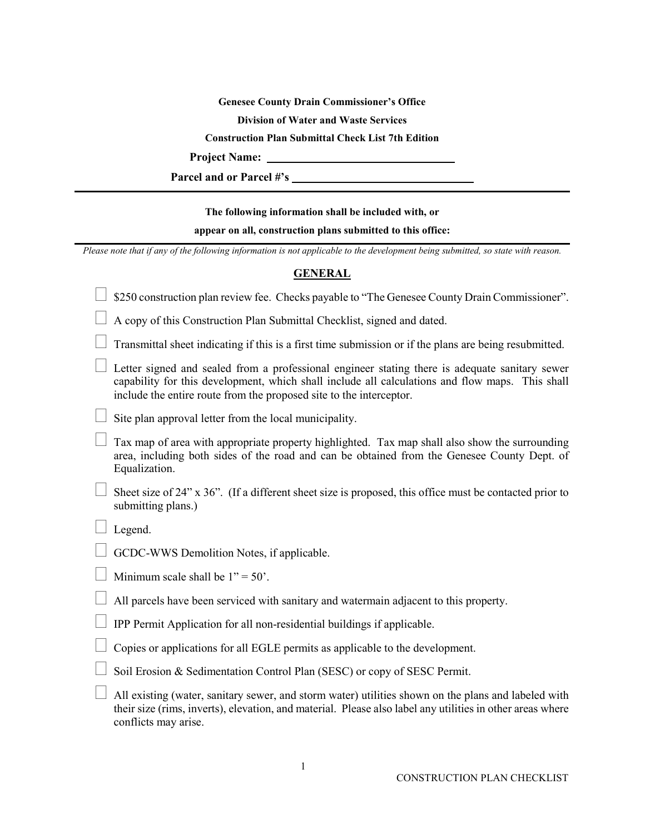**Genesee County Drain Commissioner's Office**

**Division of Water and Waste Services**

**Construction Plan Submittal Check List 7th Edition**

**Project Name:** 

**Parcel and or Parcel #'s** 

#### **The following information shall be included with, or**

#### **appear on all, construction plans submitted to this office:**

*Please note that if any of the following information is not applicable to the development being submitted, so state with reason.*

#### **GENERAL**

| \$250 construction plan review fee. Checks payable to "The Genesee County Drain Commissioner".                                                                                                                                                                           |
|--------------------------------------------------------------------------------------------------------------------------------------------------------------------------------------------------------------------------------------------------------------------------|
|                                                                                                                                                                                                                                                                          |
| A copy of this Construction Plan Submittal Checklist, signed and dated.                                                                                                                                                                                                  |
| Transmittal sheet indicating if this is a first time submission or if the plans are being resubmitted.                                                                                                                                                                   |
| Letter signed and sealed from a professional engineer stating there is adequate sanitary sewer<br>capability for this development, which shall include all calculations and flow maps. This shall<br>include the entire route from the proposed site to the interceptor. |
| Site plan approval letter from the local municipality.                                                                                                                                                                                                                   |
| Tax map of area with appropriate property highlighted. Tax map shall also show the surrounding<br>area, including both sides of the road and can be obtained from the Genesee County Dept. of<br>Equalization.                                                           |
| Sheet size of 24" x 36". (If a different sheet size is proposed, this office must be contacted prior to<br>submitting plans.)                                                                                                                                            |
| Legend.                                                                                                                                                                                                                                                                  |
| GCDC-WWS Demolition Notes, if applicable.                                                                                                                                                                                                                                |
| Minimum scale shall be $1" = 50'$ .                                                                                                                                                                                                                                      |
| All parcels have been serviced with sanitary and watermain adjacent to this property.                                                                                                                                                                                    |
| IPP Permit Application for all non-residential buildings if applicable.                                                                                                                                                                                                  |
| Copies or applications for all EGLE permits as applicable to the development.                                                                                                                                                                                            |
| Soil Erosion & Sedimentation Control Plan (SESC) or copy of SESC Permit.                                                                                                                                                                                                 |
| All existing (water, sanitary sewer, and storm water) utilities shown on the plans and labeled with<br>their size (rims, inverts), elevation, and material. Please also label any utilities in other areas where<br>conflicts may arise.                                 |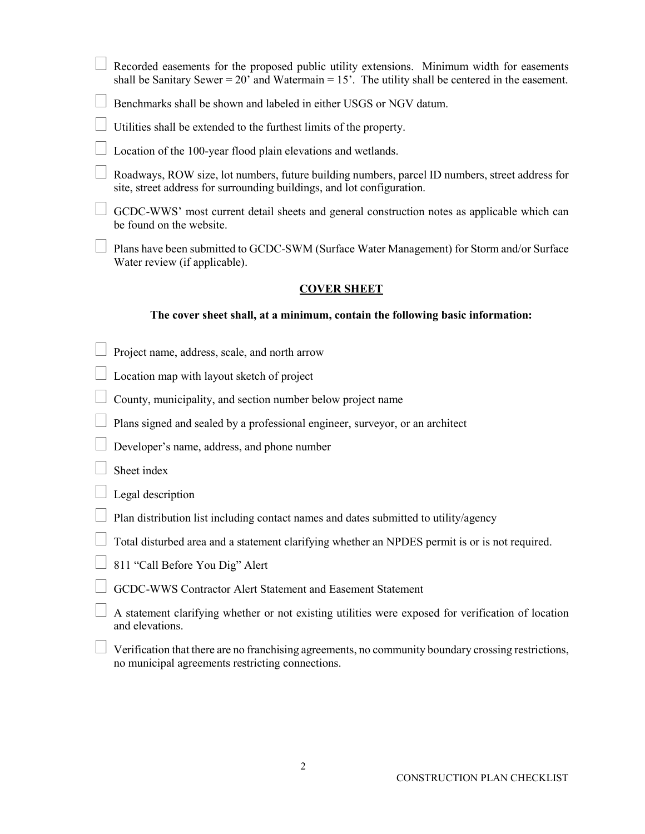|                                                                               | Recorded easements for the proposed public utility extensions. Minimum width for easements<br>shall be Sanitary Sewer = $20'$ and Watermain = $15'$ . The utility shall be centered in the easement. |  |  |  |
|-------------------------------------------------------------------------------|------------------------------------------------------------------------------------------------------------------------------------------------------------------------------------------------------|--|--|--|
|                                                                               | Benchmarks shall be shown and labeled in either USGS or NGV datum.                                                                                                                                   |  |  |  |
|                                                                               | Utilities shall be extended to the furthest limits of the property.                                                                                                                                  |  |  |  |
|                                                                               | Location of the 100-year flood plain elevations and wetlands.                                                                                                                                        |  |  |  |
|                                                                               | Roadways, ROW size, lot numbers, future building numbers, parcel ID numbers, street address for<br>site, street address for surrounding buildings, and lot configuration.                            |  |  |  |
|                                                                               | GCDC-WWS' most current detail sheets and general construction notes as applicable which can<br>be found on the website.                                                                              |  |  |  |
|                                                                               | Plans have been submitted to GCDC-SWM (Surface Water Management) for Storm and/or Surface<br>Water review (if applicable).                                                                           |  |  |  |
| <b>COVER SHEET</b>                                                            |                                                                                                                                                                                                      |  |  |  |
| The cover sheet shall, at a minimum, contain the following basic information: |                                                                                                                                                                                                      |  |  |  |
|                                                                               | Project name, address, scale, and north arrow                                                                                                                                                        |  |  |  |
|                                                                               | Location map with layout sketch of project                                                                                                                                                           |  |  |  |
|                                                                               | County, municipality, and section number below project name                                                                                                                                          |  |  |  |
|                                                                               | Plans signed and sealed by a professional engineer, surveyor, or an architect                                                                                                                        |  |  |  |
|                                                                               | Developer's name, address, and phone number                                                                                                                                                          |  |  |  |
|                                                                               | Sheet index                                                                                                                                                                                          |  |  |  |
|                                                                               | Legal description                                                                                                                                                                                    |  |  |  |
|                                                                               | $\Box$ Plan distribution list including contact names and dates submitted to utility/agency                                                                                                          |  |  |  |
|                                                                               | Total disturbed area and a statement clarifying whether an NPDES permit is or is not required.                                                                                                       |  |  |  |
|                                                                               | 811 "Call Before You Dig" Alert                                                                                                                                                                      |  |  |  |
|                                                                               | GCDC-WWS Contractor Alert Statement and Easement Statement                                                                                                                                           |  |  |  |
|                                                                               | A statement clarifying whether or not existing utilities were exposed for verification of location<br>and elevations.                                                                                |  |  |  |

 $\Box$  Verification that there are no franchising agreements, no community boundary crossing restrictions, no municipal agreements restricting connections.